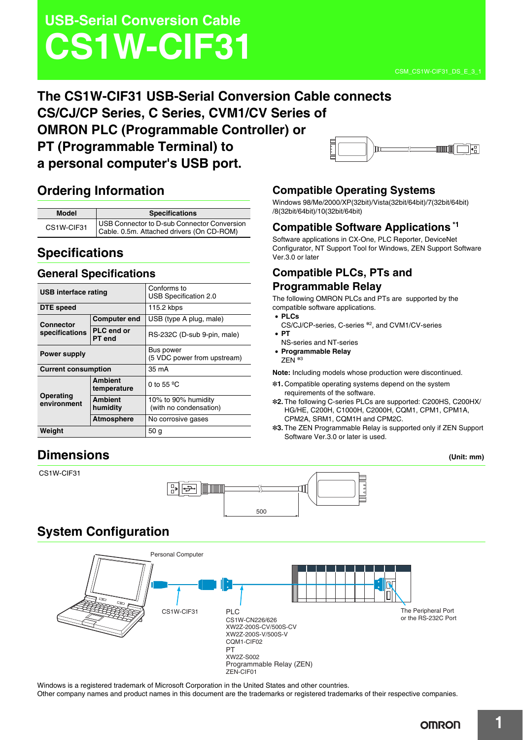# **USB-Serial Conversion Cable CS1W-CIF31**

### **The CS1W-CIF31 USB-Serial Conversion Cable connects CS/CJ/CP Series, C Series, CVM1/CV Series of OMRON PLC (Programmable Controller) or PT (Programmable Terminal) to**  ∐llaaall Ìīn **a personal computer's USB port.**

# **Ordering Information**

| Model      | <b>Specifications</b>                                                                    |  |
|------------|------------------------------------------------------------------------------------------|--|
| CS1W-CIF31 | USB Connector to D-sub Connector Conversion<br>Cable. 0.5m. Attached drivers (On CD-ROM) |  |

# **Specifications**

### **General Specifications**

| USB interface rating               |                               | Conforms to<br>USB Specification 2.0          |
|------------------------------------|-------------------------------|-----------------------------------------------|
| DTE speed                          |                               | 115.2 kbps                                    |
| <b>Connector</b><br>specifications | <b>Computer end</b>           | USB (type A plug, male)                       |
|                                    | <b>PLC</b> end or<br>PT end   | RS-232C (D-sub 9-pin, male)                   |
| <b>Power supply</b>                |                               | Bus power<br>(5 VDC power from upstream)      |
| <b>Current consumption</b>         |                               | 35 mA                                         |
| Operating<br>environment           | <b>Ambient</b><br>temperature | 0 to 55 $^{\circ}$ C                          |
|                                    | <b>Ambient</b><br>humidity    | 10% to 90% humidity<br>(with no condensation) |
|                                    | <b>Atmosphere</b>             | No corrosive gases                            |
| Weight                             |                               | 50 <sub>q</sub>                               |

# **Compatible Operating Systems**

Windows 98/Me/2000/XP(32bit)/Vista(32bit/64bit)/7(32bit/64bit) /8(32bit/64bit)/10(32bit/64bit)

## **Compatible Software Applications \*1**

Software applications in CX-One, PLC Reporter, DeviceNet Configurator, NT Support Tool for Windows, ZEN Support Software Ver.3.0 or later

### **Compatible PLCs, PTs and Programmable Relay**

The following OMRON PLCs and PTs are supported by the compatible software applications.

- **PLCs**
- CS/CJ/CP-series, C-series \*2, and CVM1/CV-series • **PT**
- NS-series and NT-series
- **Programmable Relay**
- ZEN \*<sup>3</sup>

**Note:** Including models whose production were discontinued.

- \*1. Compatible operating systems depend on the system requirements of the software.
- \*2. The following C-series PLCs are supported: C200HS, C200HX/ HG/HE, C200H, C1000H, C2000H, CQM1, CPM1, CPM1A, CPM2A, SRM1, CQM1H and CPM2C.
- \*3. The ZEN Programmable Relay is supported only if ZEN Support Software Ver.3.0 or later is used.

# **Dimensions (Unit: mm)**

CS1W-CIF31



# **System Configuration**



Windows is a registered trademark of Microsoft Corporation in the United States and other countries.

Other company names and product names in this document are the trademarks or registered trademarks of their respective companies.

 $\sqrt{2\pi}$